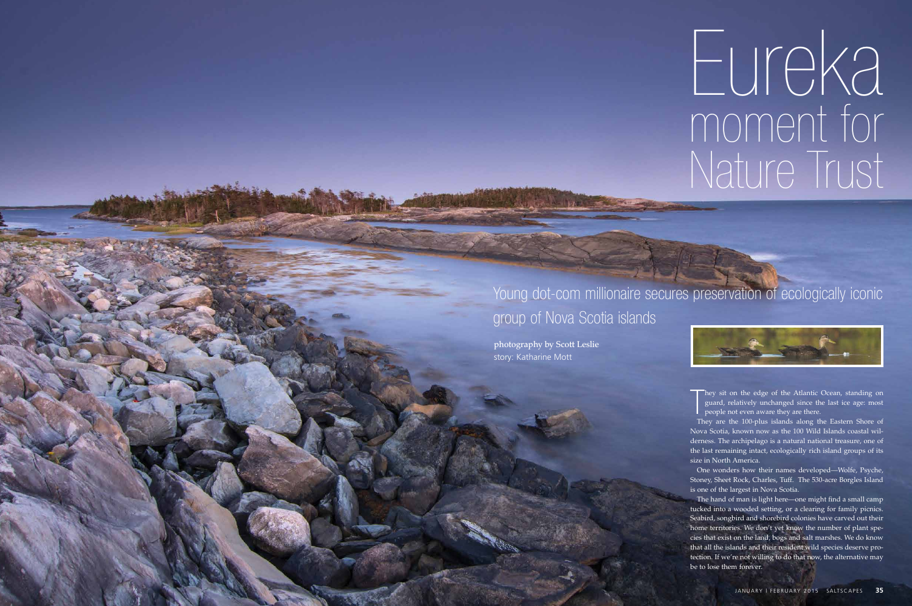They sit on the edge of the Atlantic Ocean, standing on guard, relatively unchanged since the last ice age: most people not even aware they are there. guard, relatively unchanged since the last ice age: most people not even aware they are there.

They are the 100-plus islands along the Eastern Shore of Nova Scotia, known now as the 100 Wild Islands coastal wilderness. The archipelago is a natural national treasure, one of the last remaining intact, ecologically rich island groups of its size in North America.

One wonders how their names developed—Wolfe, Psyche, Stoney, Sheet Rock, Charles, Tuff. The 530-acre Borgles Island is one of the largest in Nova Scotia.

The hand of man is light here—one might find a small camp tucked into a wooded setting, or a clearing for family picnics. Seabird, songbird and shorebird colonies have carved out their home territories. We don't yet know the number of plant species that exist on the land, bogs and salt marshes. We do know that all the islands and their resident wild species deserve protection. If we're not willing to do that now, the alternative may be to lose them forever.

## Eureka moment for Nature Trust

Young dot-com millionaire secures preservation of ecologically iconic



## group of Nova Scotia islands

photography by Scott Leslie story: Katharine Mott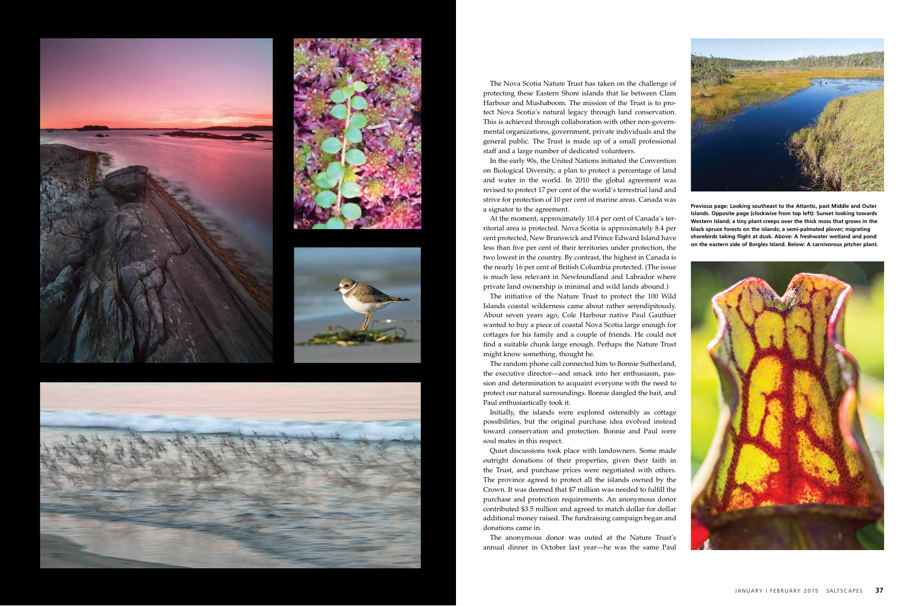







The Nova Scotia Nature Trust has taken on the challenge of protecting these Eastern Shore islands that lie between Clam Harbour and Mushaboom. The mission of the Trust is to protect Nova Scotia's natural legacy through land conservation. This is achieved through collaboration with other non-governmental organizations, government, private individuals and the general public. The Trust is made up of a small professional staff and a large number of dedicated volunteers.

In the early 90s, the United Nations initiated the Convention on Biological Diversity, a plan to protect a percentage of land and water in the world. In 2010 the global agreement was revised to protect 17 per cent of the world's terrestrial land and strive for protection of 10 per cent of marine areas. Canada was a signator to the agreement.

At the moment, approximately 10.4 per cent of Canada's territorial area is protected. Nova Scotia is approximately 8.4 per cent protected, New Brunswick and Prince Edward Island have less than five per cent of their territories under protection, the two lowest in the country. By contrast, the highest in Canada is the nearly 16 per cent of British Columbia protected. (The issue is much less relevant in Newfoundland and Labrador where private land ownership is minimal and wild lands abound.)

The initiative of the Nature Trust to protect the 100 Wild Islands coastal wilderness came about rather serendipitously. About seven years ago, Cole Harbour native Paul Gauthier wanted to buy a piece of coastal Nova Scotia large enough for cottages for his family and a couple of friends. He could not find a suitable chunk large enough. Perhaps the Nature Trust might know something, thought he.

The random phone call connected him to Bonnie Sutherland, the executive director—and smack into her enthusiasm, passion and determination to acquaint everyone with the need to protect our natural surroundings. Bonnie dangled the bait, and Paul enthusiastically took it.

Initially, the islands were explored ostensibly as cottage possibilities, but the original purchase idea evolved instead toward conservation and protection. Bonnie and Paul were soul mates in this respect.

Quiet discussions took place with landowners. Some made outright donations of their properties, given their faith in the Trust, and purchase prices were negotiated with others. The province agreed to protect all the islands owned by the Crown. It was deemed that \$7 million was needed to fulfill the purchase and protection requirements. An anonymous donor contributed \$3.5 million and agreed to match dollar for dollar additional money raised. The fundraising campaign began and donations came in.

The anonymous donor was outed at the Nature Trust's annual dinner in October last year—he was the same Paul



**Previous page: Looking southeast to the Atlantic, past Middle and Outer Islands. Opposite page (clockwise from top left): Sunset looking towards Western Island; a tiny plant creeps over the thick moss that grows in the black spruce forests on the islands; a semi-palmated plover; migrating shorebirds taking flight at dusk. Above: A freshwater wetland and pond on the eastern side of Borgles Island. Below: A carnivorous pitcher plant.**